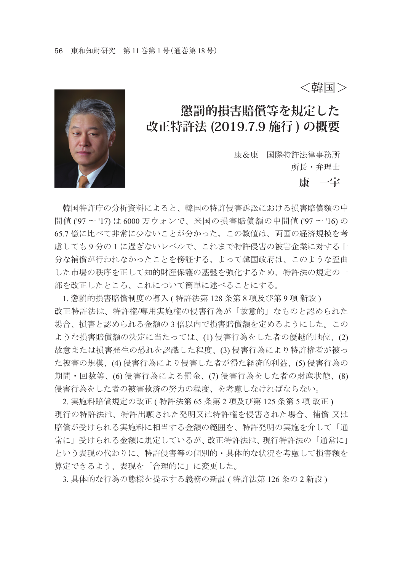<韓国>



# **懲罰的損害賠償等を規定した 改正特許法 (2019.7.9 施行 ) の概要**

康&康 国際特許法律事務所 所長・弁理士

#### **康 一宇**

 韓国特許庁の分析資料によると、韓国の特許侵害訴訟における損害賠償額の中 間値 ('97 〜 '17) は 6000 万ウォンで、米国の損害賠償額の中間値 ('97 〜 '16) の 65.7 億に比べて非常に少ないことが分かった。この数値は、両国の経済規模を考 慮しても 9 分の 1 に過ぎないレベルで、これまで特許侵害の被害企業に対する十 分な補償が行われなかったことを傍証する。よって韓国政府は、このような歪曲 した市場の秩序を正して知的財産保護の基盤を強化するため、特許法の規定の一 部を改正したところ、これについて簡単に述べることにする。

1. 懲罰的損害賠償制度の導入 ( 特許法第 128 条第 8 項及び第 9 項 新設 ) 改正特許法は、特許権/専用実施権の侵害行為が「故意的」なものと認められた 場合、損害と認められる金額の 3 倍以内で損害賠償額を定めるようにした。この ような損害賠償額の決定に当たっては、(1) 侵害行為をした者の優越的地位、(2) 故意または損害発生の恐れを認識した程度、(3) 侵害行為により特許権者が被っ た被害の規模、(4) 侵害行為により侵害した者が得た経済的利益、(5) 侵害行為の 期間・回数等、(6) 侵害行為による罰金、(7) 侵害行為をした者の財産状態、(8) 侵害行為をした者の被害救済の努力の程度、を考慮しなければならない。

2. 実施料賠償規定の改正 ( 特許法第 65 条第 2 項及び第 125 条第 5 項 改正 ) 現行の特許法は、特許出願された発明又は特許権を侵害された場合、補償 又は 賠償が受けられる実施料に相当する金額の範囲を、特許発明の実施を介して「通 常に」受けられる金額に規定しているが、改正特許法は、現行特許法の「通常に」 という表現の代わりに、特許侵害等の個別的・具体的な状況を考慮して損害額を 算定できるよう、表現を「合理的に」に変更した。

3. 具体的な行為の態様を提示する義務の新設 ( 特許法第 126 条の 2 新設 )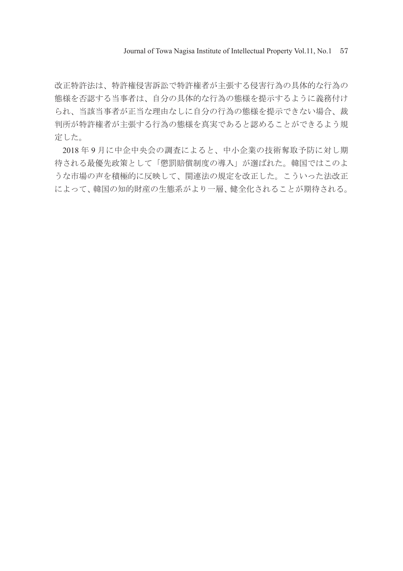Journal of Towa Nagisa Institute of Intellectual Property Vol.11, No.1 57

改正特許法は、特許権侵害訴訟で特許権者が主張する侵害行為の具体的な行為の 態様を否認する当事者は、自分の具体的な行為の態様を提示するように義務付け られ、当該当事者が正当な理由なしに自分の行為の態様を提示できない場合、裁 判所が特許権者が主張する行為の態様を真実であると認めることができるよう規 定した。

2018 年 9 月に中企中央会の調査によると、中小企業の技術奪取予防に対し期 待される最優先政策として「懲罰賠償制度の導入」が選ばれた。韓国ではこのよ うな市場の声を積極的に反映して、関連法の規定を改正した。こういった法改正 によって、韓国の知的財産の生態系がより一層、健全化されることが期待される。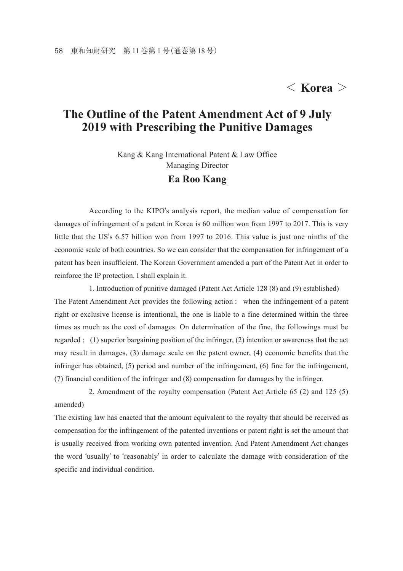## < **Korea** >

### **The Outline of the Patent Amendment Act of 9 July 2019 with Prescribing the Punitive Damages**

Kang & Kang International Patent & Law Office Managing Director

#### **Ea Roo Kang**

 According to the KIPO's analysis report, the median value of compensation for damages of infringement of a patent in Korea is 60 million won from 1997 to 2017. This is very little that the US's 6.57 billion won from 1997 to 2016. This value is just one-ninths of the economic scale of both countries. So we can consider that the compensation for infringement of a patent has been insufficient. The Korean Government amended a part of the Patent Act in order to reinforce the IP protection. I shall explain it.

 1. Introduction of punitive damaged (Patent Act Article 128 (8) and (9) established) The Patent Amendment Act provides the following action : when the infringement of a patent right or exclusive license is intentional, the one is liable to a fine determined within the three times as much as the cost of damages. On determination of the fine, the followings must be regarded : (1) superior bargaining position of the infringer, (2) intention or awareness that the act may result in damages, (3) damage scale on the patent owner, (4) economic benefits that the infringer has obtained, (5) period and number of the infringement, (6) fine for the infringement, (7) financial condition of the infringer and (8) compensation for damages by the infringer.

 2. Amendment of the royalty compensation (Patent Act Article 65 (2) and 125 (5) amended)

The existing law has enacted that the amount equivalent to the royalty that should be received as compensation for the infringement of the patented inventions or patent right is set the amount that is usually received from working own patented invention. And Patent Amendment Act changes the word 'usually' to 'reasonably' in order to calculate the damage with consideration of the specific and individual condition.